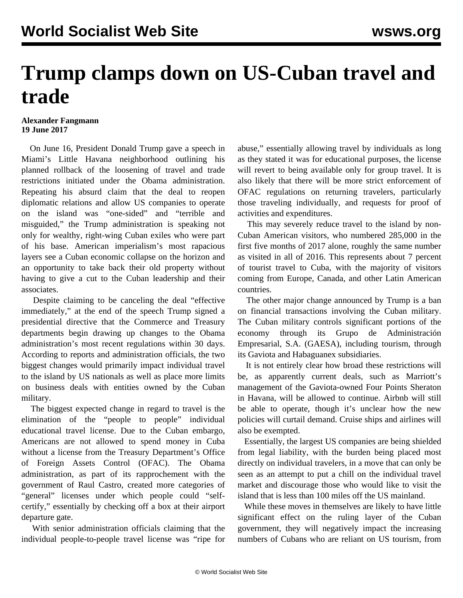## **Trump clamps down on US-Cuban travel and trade**

## **Alexander Fangmann 19 June 2017**

 On June 16, President Donald Trump gave a speech in Miami's Little Havana neighborhood outlining his planned rollback of the loosening of travel and trade restrictions initiated under the Obama administration. Repeating his absurd claim that the deal to reopen diplomatic relations and allow US companies to operate on the island was "one-sided" and "terrible and misguided," the Trump administration is speaking not only for wealthy, right-wing Cuban exiles who were part of his base. American imperialism's most rapacious layers see a Cuban economic collapse on the horizon and an opportunity to take back their old property without having to give a cut to the Cuban leadership and their associates.

 Despite claiming to be canceling the deal "effective immediately," at the end of the speech Trump signed a presidential directive that the Commerce and Treasury departments begin drawing up changes to the Obama administration's most recent regulations within 30 days. According to reports and administration officials, the two biggest changes would primarily impact individual travel to the island by US nationals as well as place more limits on business deals with entities owned by the Cuban military.

 The biggest expected change in regard to travel is the elimination of the "people to people" individual educational travel license. Due to the Cuban embargo, Americans are not allowed to spend money in Cuba without a license from the Treasury Department's Office of Foreign Assets Control (OFAC). The Obama administration, as part of its rapprochement with the government of Raul Castro, created more categories of "general" licenses under which people could "selfcertify," essentially by checking off a box at their airport departure gate.

 With senior administration officials claiming that the individual people-to-people travel license was "ripe for abuse," essentially allowing travel by individuals as long as they stated it was for educational purposes, the license will revert to being available only for group travel. It is also likely that there will be more strict enforcement of OFAC regulations on returning travelers, particularly those traveling individually, and requests for proof of activities and expenditures.

 This may severely reduce travel to the island by non-Cuban American visitors, who numbered 285,000 in the first five months of 2017 alone, roughly the same number as visited in all of 2016. This represents about 7 percent of tourist travel to Cuba, with the majority of visitors coming from Europe, Canada, and other Latin American countries.

 The other major change announced by Trump is a ban on financial transactions involving the Cuban military. The Cuban military controls significant portions of the economy through its Grupo de Administración Empresarial, S.A. (GAESA), including tourism, through its Gaviota and Habaguanex subsidiaries.

 It is not entirely clear how broad these restrictions will be, as apparently current deals, such as Marriott's management of the Gaviota-owned Four Points Sheraton in Havana, will be allowed to continue. Airbnb will still be able to operate, though it's unclear how the new policies will curtail demand. Cruise ships and airlines will also be exempted.

 Essentially, the largest US companies are being shielded from legal liability, with the burden being placed most directly on individual travelers, in a move that can only be seen as an attempt to put a chill on the individual travel market and discourage those who would like to visit the island that is less than 100 miles off the US mainland.

 While these moves in themselves are likely to have little significant effect on the ruling layer of the Cuban government, they will negatively impact the increasing numbers of Cubans who are reliant on US tourism, from